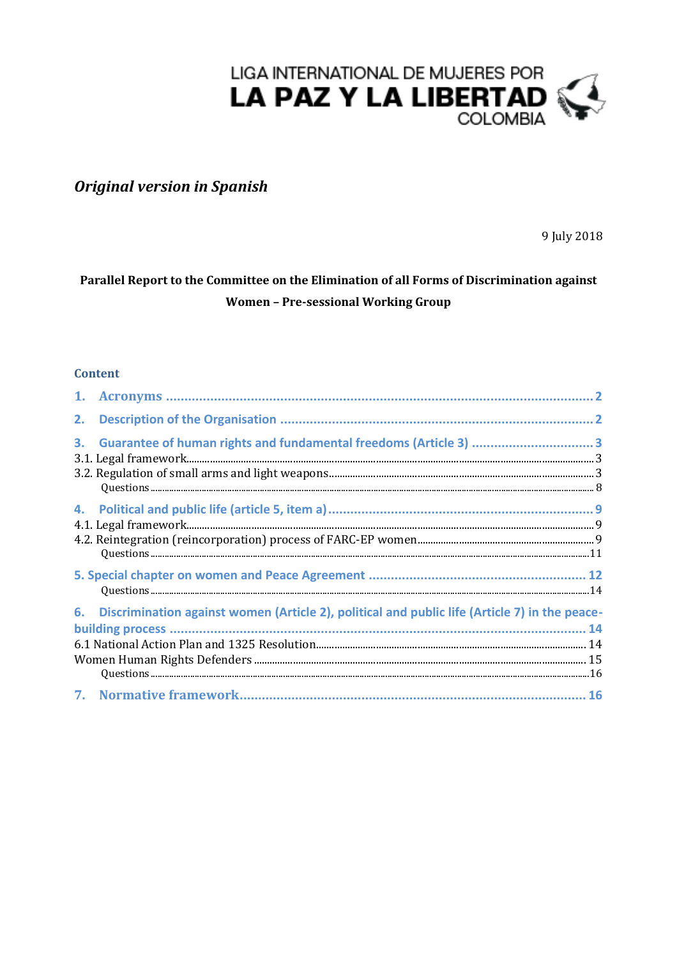

# **Original version in Spanish**

9 July 2018

## Parallel Report to the Committee on the Elimination of all Forms of Discrimination against **Women - Pre-sessional Working Group**

### **Content**

| 1. |                                                                                               |  |
|----|-----------------------------------------------------------------------------------------------|--|
| 2. |                                                                                               |  |
| 3. | Guarantee of human rights and fundamental freedoms (Article 3) 3                              |  |
| 4. |                                                                                               |  |
|    |                                                                                               |  |
| 6. | Discrimination against women (Article 2), political and public life (Article 7) in the peace- |  |
|    |                                                                                               |  |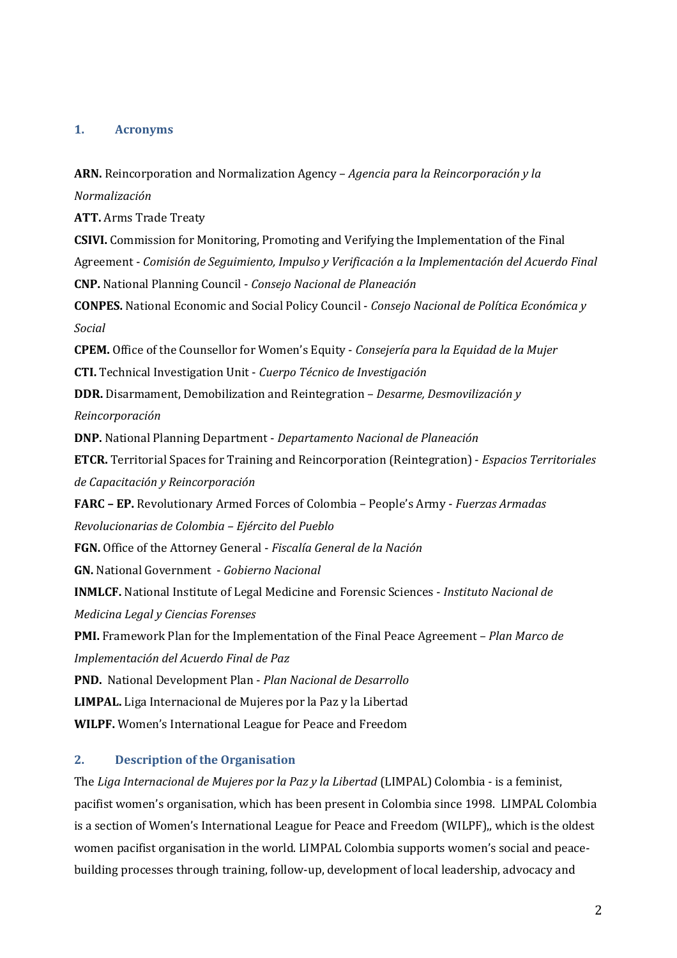#### **1. Acronyms**

**ARN.** Reincorporation and Normalization Agency – *Agencia para la Reincorporación y la Normalización*

**ATT.** Arms Trade Treaty

**CSIVI.** Commission for Monitoring, Promoting and Verifying the Implementation of the Final Agreement - *Comisión de Seguimiento, Impulso y Verificación a la Implementación del Acuerdo Final* **CNP.** National Planning Council - *Consejo Nacional de Planeación* **CONPES.** National Economic and Social Policy Council - *Consejo Nacional de Política Económica y Social*

**CPEM.** Office of the Counsellor for Women's Equity - *Consejería para la Equidad de la Mujer* **CTI.** Technical Investigation Unit - *Cuerpo Técnico de Investigación*

**DDR.** Disarmament, Demobilization and Reintegration – *Desarme, Desmovilización y*

*Reincorporación*

**DNP.** National Planning Department - *Departamento Nacional de Planeación*

**ETCR.** Territorial Spaces for Training and Reincorporation (Reintegration) - *Espacios Territoriales de Capacitación y Reincorporación*

**FARC – EP.** Revolutionary Armed Forces of Colombia – People's Army - *Fuerzas Armadas Revolucionarias de Colombia – Ejército del Pueblo*

**FGN.** Office of the Attorney General - *Fiscalía General de la Nación*

**GN.** National Government - *Gobierno Nacional*

**INMLCF.** National Institute of Legal Medicine and Forensic Sciences - *Instituto Nacional de Medicina Legal y Ciencias Forenses*

**PMI.** Framework Plan for the Implementation of the Final Peace Agreement – *Plan Marco de Implementación del Acuerdo Final de Paz*

**PND.** National Development Plan - *Plan Nacional de Desarrollo*

**LIMPAL.** Liga Internacional de Mujeres por la Paz y la Libertad

**WILPF.** Women's International League for Peace and Freedom

### **2. Description of the Organisation**

The *Liga Internacional de Mujeres por la Paz y la Libertad* (LIMPAL) Colombia - is a feminist, pacifist women's organisation, which has been present in Colombia since 1998. LIMPAL Colombia is a section of Women's International League for Peace and Freedom (WILPF),, which is the oldest women pacifist organisation in the world. LIMPAL Colombia supports women's social and peacebuilding processes through training, follow-up, development of local leadership, advocacy and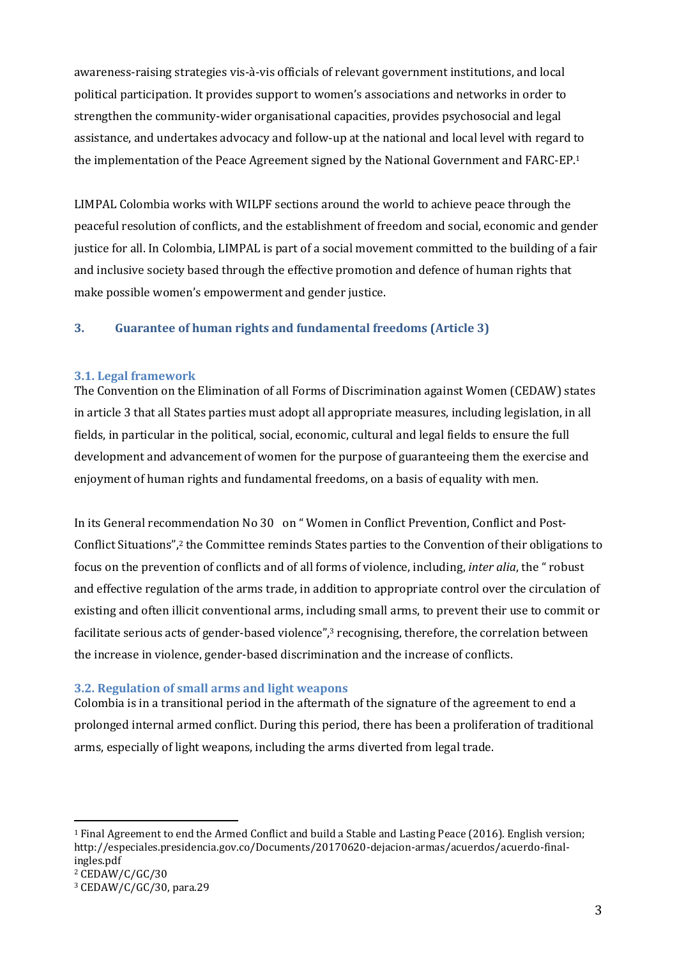awareness-raising strategies vis-à-vis officials of relevant government institutions, and local political participation. It provides support to women's associations and networks in order to strengthen the community-wider organisational capacities, provides psychosocial and legal assistance, and undertakes advocacy and follow-up at the national and local level with regard to the implementation of the Peace Agreement signed by the National Government and FARC-EP. 1

LIMPAL Colombia works with WILPF sections around the world to achieve peace through the peaceful resolution of conflicts, and the establishment of freedom and social, economic and gender justice for all. In Colombia, LIMPAL is part of a social movement committed to the building of a fair and inclusive society based through the effective promotion and defence of human rights that make possible women's empowerment and gender justice.

### **3. Guarantee of human rights and fundamental freedoms (Article 3)**

#### **3.1. Legal framework**

The Convention on the Elimination of all Forms of Discrimination against Women (CEDAW) states in article 3 that all States parties must adopt all appropriate measures, including legislation, in all fields, in particular in the political, social, economic, cultural and legal fields to ensure the full development and advancement of women for the purpose of guaranteeing them the exercise and enjoyment of human rights and fundamental freedoms, on a basis of equality with men.

In its General recommendation No 30 on " Women in Conflict Prevention, Conflict and Post-Conflict Situations", <sup>2</sup> the Committee reminds States parties to the Convention of their obligations to focus on the prevention of conflicts and of all forms of violence, including, *inter alia*, the " robust and effective regulation of the arms trade, in addition to appropriate control over the circulation of existing and often illicit conventional arms, including small arms, to prevent their use to commit or facilitate serious acts of gender-based violence", <sup>3</sup> recognising, therefore, the correlation between the increase in violence, gender-based discrimination and the increase of conflicts.

#### **3.2. Regulation of small arms and light weapons**

Colombia is in a transitional period in the aftermath of the signature of the agreement to end a prolonged internal armed conflict. During this period, there has been a proliferation of traditional arms, especially of light weapons, including the arms diverted from legal trade.

<sup>1</sup> Final Agreement to end the Armed Conflict and build a Stable and Lasting Peace (2016). English version; [http://especiales.presidencia.gov.co/Documents/20170620-dejacion-armas/acuerdos/acuerdo-final](http://especiales.presidencia.gov.co/Documents/20170620-dejacion-armas/acuerdos/acuerdo-final-ingles.pdf)[ingles.pdf](http://especiales.presidencia.gov.co/Documents/20170620-dejacion-armas/acuerdos/acuerdo-final-ingles.pdf)

 $2$  CEDAW/C/GC/30

<sup>3</sup> CEDAW/C/GC/30, para.29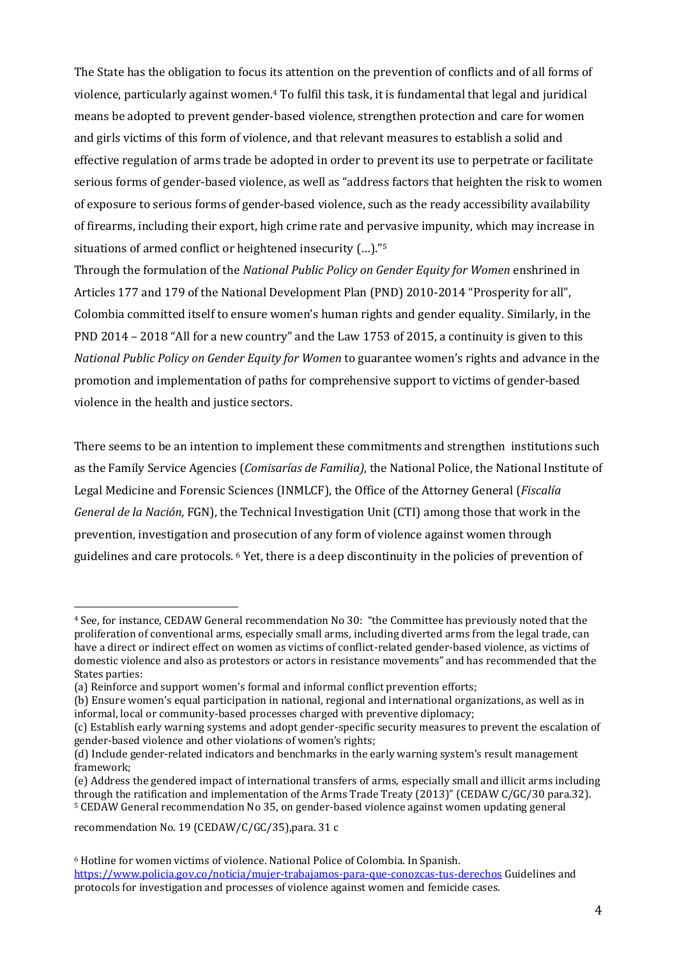The State has the obligation to focus its attention on the prevention of conflicts and of all forms of violence, particularly against women. <sup>4</sup> To fulfil this task, it is fundamental that legal and juridical means be adopted to prevent gender-based violence, strengthen protection and care for women and girls victims of this form of violence, and that relevant measures to establish a solid and effective regulation of arms trade be adopted in order to prevent its use to perpetrate or facilitate serious forms of gender-based violence, as well as "address factors that heighten the risk to women of exposure to serious forms of gender-based violence, such as the ready accessibility availability of firearms, including their export, high crime rate and pervasive impunity, which may increase in situations of armed conflict or heightened insecurity (…)." 5

Through the formulation of the *National Public Policy on Gender Equity for Women* enshrined in Articles 177 and 179 of the National Development Plan (PND) 2010-2014 "Prosperity for all", Colombia committed itself to ensure women's human rights and gender equality. Similarly, in the PND 2014 – 2018 "All for a new country" and the Law 1753 of 2015, a continuity is given to this *National Public Policy on Gender Equity for Women* to guarantee women's rights and advance in the promotion and implementation of paths for comprehensive support to victims of gender-based violence in the health and justice sectors.

There seems to be an intention to implement these commitments and strengthen institutions such as the Family Service Agencies (*Comisarías de Familia)*, the National Police, the National Institute of Legal Medicine and Forensic Sciences (INMLCF), the Office of the Attorney General (*Fiscalía General de la Nación,* FGN), the Technical Investigation Unit (CTI) among those that work in the prevention, investigation and prosecution of any form of violence against women through guidelines and care protocols. <sup>6</sup> Yet, there is a deep discontinuity in the policies of prevention of

recommendation No. 19 (CEDAW/C/GC/35),para. 31 c

<sup>4</sup> See, for instance, CEDAW General recommendation No 30: "the Committee has previously noted that the proliferation of conventional arms, especially small arms, including diverted arms from the legal trade, can have a direct or indirect effect on women as victims of conflict-related gender-based violence, as victims of domestic violence and also as protestors or actors in resistance movements" and has recommended that the States parties:

<sup>(</sup>a) Reinforce and support women's formal and informal conflict prevention efforts;

<sup>(</sup>b) Ensure women's equal participation in national, regional and international organizations, as well as in informal, local or community-based processes charged with preventive diplomacy;

<sup>(</sup>c) Establish early warning systems and adopt gender-specific security measures to prevent the escalation of gender-based violence and other violations of women's rights;

<sup>(</sup>d) Include gender-related indicators and benchmarks in the early warning system's result management framework;

<sup>(</sup>e) Address the gendered impact of international transfers of arms, especially small and illicit arms including through the ratification and implementation of the Arms Trade Treaty (2013)" (CEDAW C/GC/30 para.32). <sup>5</sup> CEDAW General recommendation No 35, on gender-based violence against women updating general

<sup>6</sup> Hotline for women victims of violence. National Police of Colombia. In Spanish.

<https://www.policia.gov.co/noticia/mujer-trabajamos-para-que-conozcas-tus-derechos> Guidelines and protocols for investigation and processes of violence against women and femicide cases.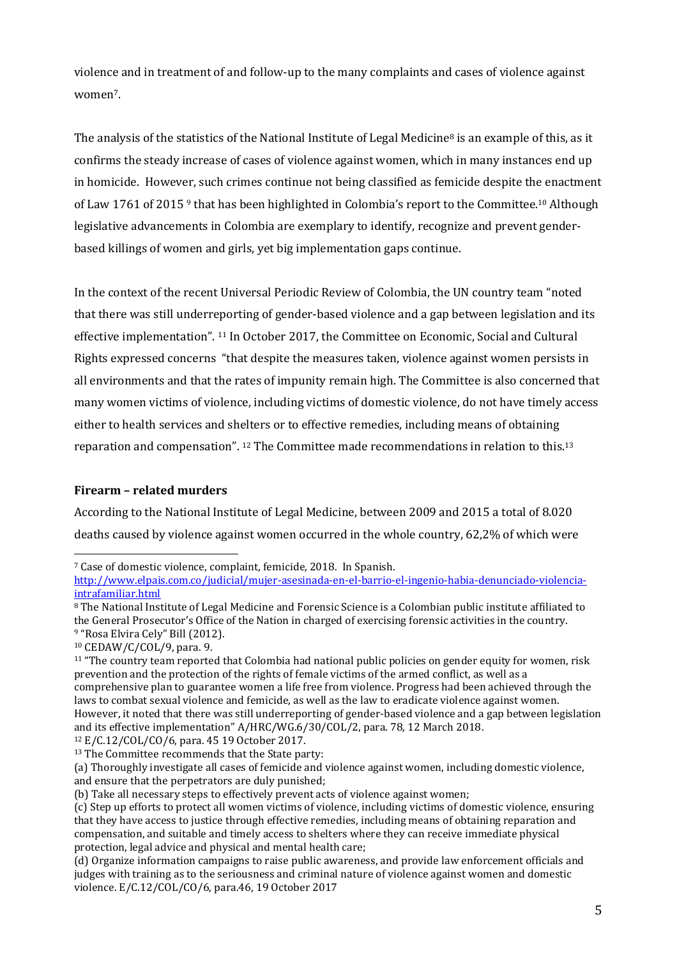violence and in treatment of and follow-up to the many complaints and cases of violence against women7.

The analysis of the statistics of the National Institute of Legal Medicine<sup>8</sup> is an example of this, as it confirms the steady increase of cases of violence against women, which in many instances end up in homicide. However, such crimes continue not being classified as femicide despite the enactment of Law 1761 of 2015<sup>9</sup> that has been highlighted in Colombia's report to the Committee.<sup>10</sup> Although legislative advancements in Colombia are exemplary to identify, recognize and prevent genderbased killings of women and girls, yet big implementation gaps continue.

In the context of the recent Universal Periodic Review of Colombia, the UN country team "noted that there was still underreporting of gender-based violence and a gap between legislation and its effective implementation". <sup>11</sup> In October 2017, the Committee on Economic, Social and Cultural Rights expressed concerns "that despite the measures taken, violence against women persists in all environments and that the rates of impunity remain high. The Committee is also concerned that many women victims of violence, including victims of domestic violence, do not have timely access either to health services and shelters or to effective remedies, including means of obtaining reparation and compensation". <sup>12</sup> The Committee made recommendations in relation to this.<sup>13</sup>

### **Firearm – related murders**

According to the National Institute of Legal Medicine, between 2009 and 2015 a total of 8.020 deaths caused by violence against women occurred in the whole country, 62,2% of which were

```
10 CEDAW/C/COL/9, para. 9.
```
 $\overline{a}$ 

<sup>12</sup> E/C.12/COL/CO/6, para. 45 19 October 2017.

<sup>7</sup> Case of domestic violence, complaint, femicide, 2018. In Spanish.

[http://www.elpais.com.co/judicial/mujer-asesinada-en-el-barrio-el-ingenio-habia-denunciado-violencia](http://www.elpais.com.co/judicial/mujer-asesinada-en-el-barrio-el-ingenio-habia-denunciado-violencia-intrafamiliar.html)[intrafamiliar.html](http://www.elpais.com.co/judicial/mujer-asesinada-en-el-barrio-el-ingenio-habia-denunciado-violencia-intrafamiliar.html)

<sup>8</sup> The National Institute of Legal Medicine and Forensic Science is a Colombian public institute affiliated to the General Prosecutor's Office of the Nation in charged of exercising forensic activities in the country. <sup>9</sup> "Rosa Elvira Cely" Bill (2012).

<sup>&</sup>lt;sup>11</sup> "The country team reported that Colombia had national public policies on gender equity for women, risk prevention and the protection of the rights of female victims of the armed conflict, as well as a comprehensive plan to guarantee women a life free from violence. Progress had been achieved through the laws to combat sexual violence and femicide, as well as the law to eradicate violence against women. However, it noted that there was still underreporting of gender-based violence and a gap between legislation and its effective implementation" A/HRC/WG.6/30/COL/2, para. 78, 12 March 2018.

<sup>13</sup> The Committee recommends that the State party:

<sup>(</sup>a) Thoroughly investigate all cases of femicide and violence against women, including domestic violence, and ensure that the perpetrators are duly punished;

<sup>(</sup>b) Take all necessary steps to effectively prevent acts of violence against women;

<sup>(</sup>c) Step up efforts to protect all women victims of violence, including victims of domestic violence, ensuring that they have access to justice through effective remedies, including means of obtaining reparation and compensation, and suitable and timely access to shelters where they can receive immediate physical protection, legal advice and physical and mental health care;

<sup>(</sup>d) Organize information campaigns to raise public awareness, and provide law enforcement officials and judges with training as to the seriousness and criminal nature of violence against women and domestic violence. E/C.12/COL/CO/6, para.46, 19 October 2017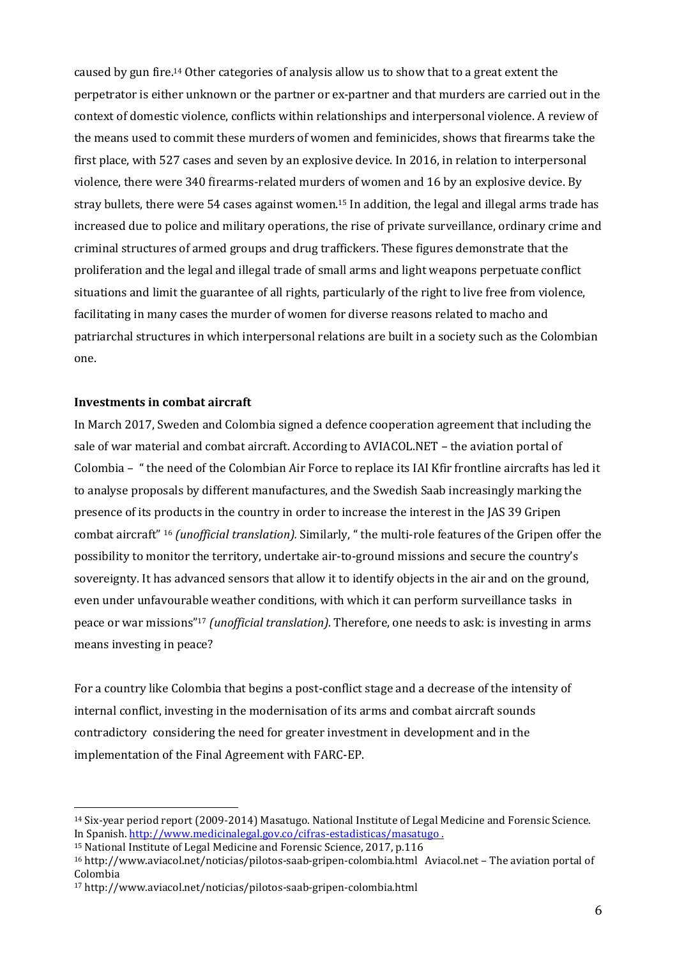caused by gun fire. <sup>14</sup> Other categories of analysis allow us to show that to a great extent the perpetrator is either unknown or the partner or ex-partner and that murders are carried out in the context of domestic violence, conflicts within relationships and interpersonal violence. A review of the means used to commit these murders of women and feminicides, shows that firearms take the first place, with 527 cases and seven by an explosive device. In 2016, in relation to interpersonal violence, there were 340 firearms-related murders of women and 16 by an explosive device. By stray bullets, there were 54 cases against women. <sup>15</sup> In addition, the legal and illegal arms trade has increased due to police and military operations, the rise of private surveillance, ordinary crime and criminal structures of armed groups and drug traffickers. These figures demonstrate that the proliferation and the legal and illegal trade of small arms and light weapons perpetuate conflict situations and limit the guarantee of all rights, particularly of the right to live free from violence, facilitating in many cases the murder of women for diverse reasons related to macho and patriarchal structures in which interpersonal relations are built in a society such as the Colombian one.

#### **Investments in combat aircraft**

 $\overline{a}$ 

In March 2017, Sweden and Colombia signed a defence cooperation agreement that including the sale of war material and combat aircraft. According to AVIACOL.NET – the aviation portal of Colombia – " the need of the Colombian Air Force to replace its IAI Kfir frontline aircrafts has led it to analyse proposals by different manufactures, and the Swedish Saab increasingly marking the presence of its products in the country in order to increase the interest in the JAS 39 Gripen combat aircraft" <sup>16</sup> *(unofficial translation).* Similarly, " the multi-role features of the Gripen offer the possibility to monitor the territory, undertake air-to-ground missions and secure the country's sovereignty. It has advanced sensors that allow it to identify objects in the air and on the ground, even under unfavourable weather conditions, with which it can perform surveillance tasks in peace or war missions"<sup>17</sup> *(unofficial translation).* Therefore, one needs to ask: is investing in arms means investing in peace?

For a country like Colombia that begins a post-conflict stage and a decrease of the intensity of internal conflict, investing in the modernisation of its arms and combat aircraft sounds contradictory considering the need for greater investment in development and in the implementation of the Final Agreement with FARC-EP.

<sup>14</sup> Six-year period report (2009-2014) Masatugo. National Institute of Legal Medicine and Forensic Science. In Spanish.<http://www.medicinalegal.gov.co/cifras-estadisticas/masatugo> .

<sup>15</sup> National Institute of Legal Medicine and Forensic Science, 2017, p.116

<sup>16</sup> <http://www.aviacol.net/noticias/pilotos-saab-gripen-colombia.html> [Aviacol.net](http://aviacol.net/) – The aviation portal of Colombia

<sup>17</sup> <http://www.aviacol.net/noticias/pilotos-saab-gripen-colombia.html>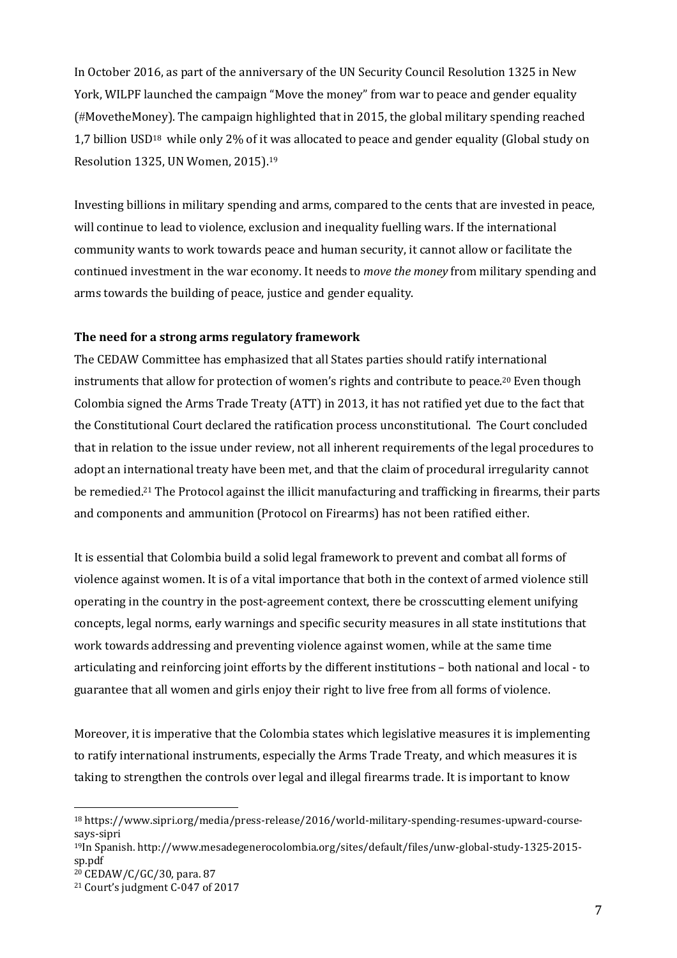In October 2016, as part of the anniversary of the UN Security Council Resolution 1325 in New York, WILPF launched the campaign "Move the money" from war to peace and gender equality (#MovetheMoney). The campaign highlighted that in 2015, the global military spending reached 1,7 billion USD<sup>18</sup> while only 2% of it was allocated to peace and gender equality (Global study on Resolution 1325, UN Women, 2015). 19

Investing billions in military spending and arms, compared to the cents that are invested in peace, will continue to lead to violence, exclusion and inequality fuelling wars. If the international community wants to work towards peace and human security, it cannot allow or facilitate the continued investment in the war economy. It needs to *move the money* from military spending and arms towards the building of peace, justice and gender equality.

### **The need for a strong arms regulatory framework**

The CEDAW Committee has emphasized that all States parties should ratify international instruments that allow for protection of women's rights and contribute to peace. <sup>20</sup> Even though Colombia signed the Arms Trade Treaty (ATT) in 2013, it has not ratified yet due to the fact that the Constitutional Court declared the ratification process unconstitutional. The Court concluded that in relation to the issue under review, not all inherent requirements of the legal procedures to adopt an international treaty have been met, and that the claim of procedural irregularity cannot be remedied.<sup>21</sup> The Protocol against the illicit manufacturing and trafficking in firearms, their parts and components and ammunition (Protocol on Firearms) has not been ratified either.

It is essential that Colombia build a solid legal framework to prevent and combat all forms of violence against women. It is of a vital importance that both in the context of armed violence still operating in the country in the post-agreement context, there be crosscutting element unifying concepts, legal norms, early warnings and specific security measures in all state institutions that work towards addressing and preventing violence against women, while at the same time articulating and reinforcing joint efforts by the different institutions – both national and local - to guarantee that all women and girls enjoy their right to live free from all forms of violence.

Moreover, it is imperative that the Colombia states which legislative measures it is implementing to ratify international instruments, especially the Arms Trade Treaty, and which measures it is taking to strengthen the controls over legal and illegal firearms trade. It is important to know

<sup>18</sup> [https://www.sipri.org/media/press-release/2016/world-military-spending-resumes-upward-course](https://www.sipri.org/media/press-release/2016/world-military-spending-resumes-upward-course-says-sipri)[says-sipri](https://www.sipri.org/media/press-release/2016/world-military-spending-resumes-upward-course-says-sipri)

<sup>19</sup>In Spanish. [http://www.mesadegenerocolombia.org/sites/default/files/unw-global-study-1325-2015](http://www.mesadegenerocolombia.org/sites/default/files/unw-global-study-1325-2015-sp.pdf) [sp.pdf](http://www.mesadegenerocolombia.org/sites/default/files/unw-global-study-1325-2015-sp.pdf)

<sup>20</sup> CEDAW/C/GC/30, para. 87

<sup>21</sup> Court's judgment C-047 of 2017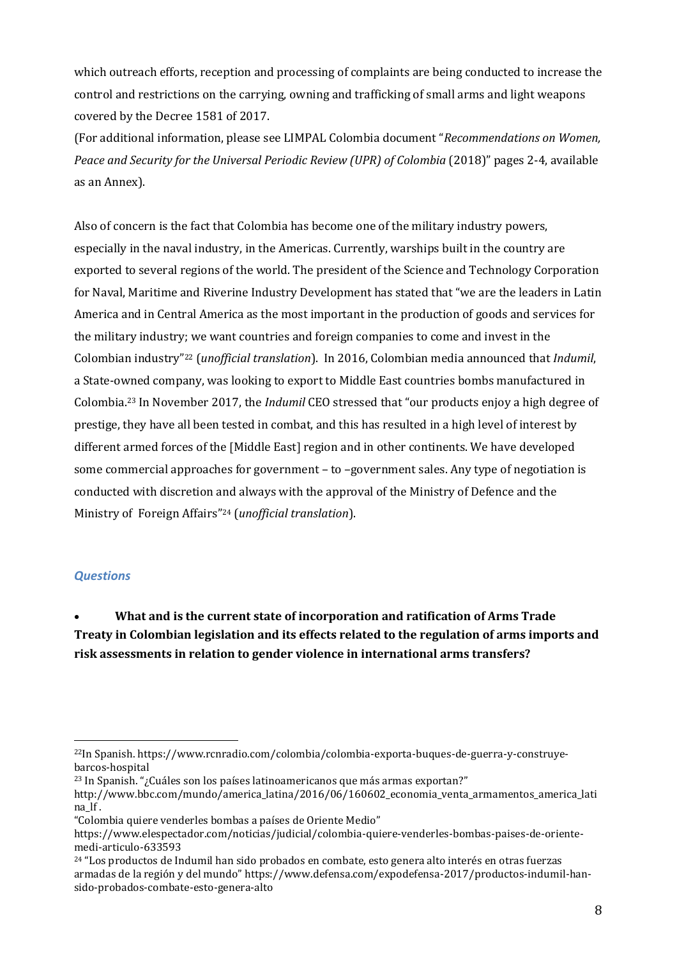which outreach efforts, reception and processing of complaints are being conducted to increase the control and restrictions on the carrying, owning and trafficking of small arms and light weapons covered by the Decree 1581 of 2017.

(For additional information, please see LIMPAL Colombia document "*Recommendations on Women, Peace and Security for the Universal Periodic Review (UPR) of Colombia* (2018)" pages 2-4, available as an Annex).

Also of concern is the fact that Colombia has become one of the military industry powers, especially in the naval industry, in the Americas. Currently, warships built in the country are exported to several regions of the world. The president of the Science and Technology Corporation for Naval, Maritime and Riverine Industry Development has stated that "we are the leaders in Latin America and in Central America as the most important in the production of goods and services for the military industry; we want countries and foreign companies to come and invest in the Colombian industry" <sup>22</sup> (*unofficial translation*). In 2016, Colombian media announced that *Indumil*, a State-owned company, was looking to export to Middle East countries bombs manufactured in Colombia.<sup>23</sup> In November 2017, the *Indumil* CEO stressed that "our products enjoy a high degree of prestige, they have all been tested in combat, and this has resulted in a high level of interest by different armed forces of the [Middle East] region and in other continents. We have developed some commercial approaches for government – to –government sales. Any type of negotiation is conducted with discretion and always with the approval of the Ministry of Defence and the Ministry of Foreign Affairs" <sup>24</sup> (*unofficial translation*).

### *Questions*

 $\overline{a}$ 

 **What and is the current state of incorporation and ratification of Arms Trade Treaty in Colombian legislation and its effects related to the regulation of arms imports and risk assessments in relation to gender violence in international arms transfers?**

<sup>22</sup>In Spanish. [https://www.rcnradio.com/colombia/colombia-exporta-buques-de-guerra-y-construye](https://www.rcnradio.com/colombia/colombia-exporta-buques-de-guerra-y-construye-barcos-hospital)[barcos-hospital](https://www.rcnradio.com/colombia/colombia-exporta-buques-de-guerra-y-construye-barcos-hospital)

 $23$  In Spanish. "¿Cuáles son los países latinoamericanos que más armas exportan?"

[http://www.bbc.com/mundo/america\\_latina/2016/06/160602\\_economia\\_venta\\_armamentos\\_america\\_lati](http://www.bbc.com/mundo/america_latina/2016/06/160602_economia_venta_armamentos_america_latina_lf) [na\\_lf](http://www.bbc.com/mundo/america_latina/2016/06/160602_economia_venta_armamentos_america_latina_lf) .

<sup>&</sup>quot;Colombia quiere venderles bombas a países de Oriente Medio"

https://www.elespectador.com/noticias/judicial/colombia-quiere-venderles-bombas-paises-de-orientemedi-articulo-633593

 $24$  "Los productos de Indumil han sido probados en combate, esto genera alto interés en otras fuerzas armadas de la región y del mundo" [https://www.defensa.com/expodefensa-2017/productos-indumil-han](https://www.defensa.com/expodefensa-2017/productos-indumil-han-sido-probados-combate-esto-genera-alto)[sido-probados-combate-esto-genera-alto](https://www.defensa.com/expodefensa-2017/productos-indumil-han-sido-probados-combate-esto-genera-alto)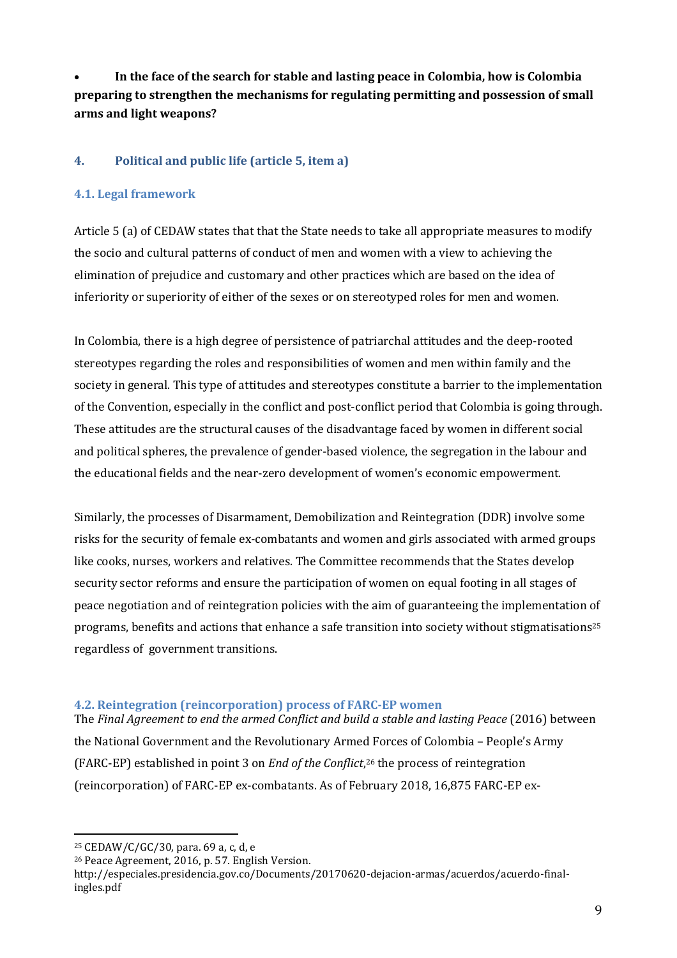**In the face of the search for stable and lasting peace in Colombia, how is Colombia preparing to strengthen the mechanisms for regulating permitting and possession of small arms and light weapons?**

### **4. Political and public life (article 5, item a)**

### **4.1. Legal framework**

Article 5 (a) of CEDAW states that that the State needs to take all appropriate measures to modify the socio and cultural patterns of conduct of men and women with a view to achieving the elimination of prejudice and customary and other practices which are based on the idea of inferiority or superiority of either of the sexes or on stereotyped roles for men and women.

In Colombia, there is a high degree of persistence of patriarchal attitudes and the deep-rooted stereotypes regarding the roles and responsibilities of women and men within family and the society in general. This type of attitudes and stereotypes constitute a barrier to the implementation of the Convention, especially in the conflict and post-conflict period that Colombia is going through. These attitudes are the structural causes of the disadvantage faced by women in different social and political spheres, the prevalence of gender-based violence, the segregation in the labour and the educational fields and the near-zero development of women's economic empowerment.

Similarly, the processes of Disarmament, Demobilization and Reintegration (DDR) involve some risks for the security of female ex-combatants and women and girls associated with armed groups like cooks, nurses, workers and relatives. The Committee recommends that the States develop security sector reforms and ensure the participation of women on equal footing in all stages of peace negotiation and of reintegration policies with the aim of guaranteeing the implementation of programs, benefits and actions that enhance a safe transition into society without stigmatisations<sup>25</sup> regardless of government transitions.

### **4.2. Reintegration (reincorporation) process of FARC-EP women**

The *Final Agreement to end the armed Conflict and build a stable and lasting Peace* (2016) between the National Government and the Revolutionary Armed Forces of Colombia – People's Army (FARC-EP) established in point 3 on *End of the Conflict*, <sup>26</sup> the process of reintegration (reincorporation) of FARC-EP ex-combatants. As of February 2018, 16,875 FARC-EP ex-

<sup>25</sup> CEDAW/C/GC/30, para. 69 a, c, d, e

 $\overline{a}$ 

<sup>26</sup> Peace Agreement, 2016, p. 57. English Version.

http://especiales.presidencia.gov.co/Documents/20170620-dejacion-armas/acuerdos/acuerdo-finalingles.pdf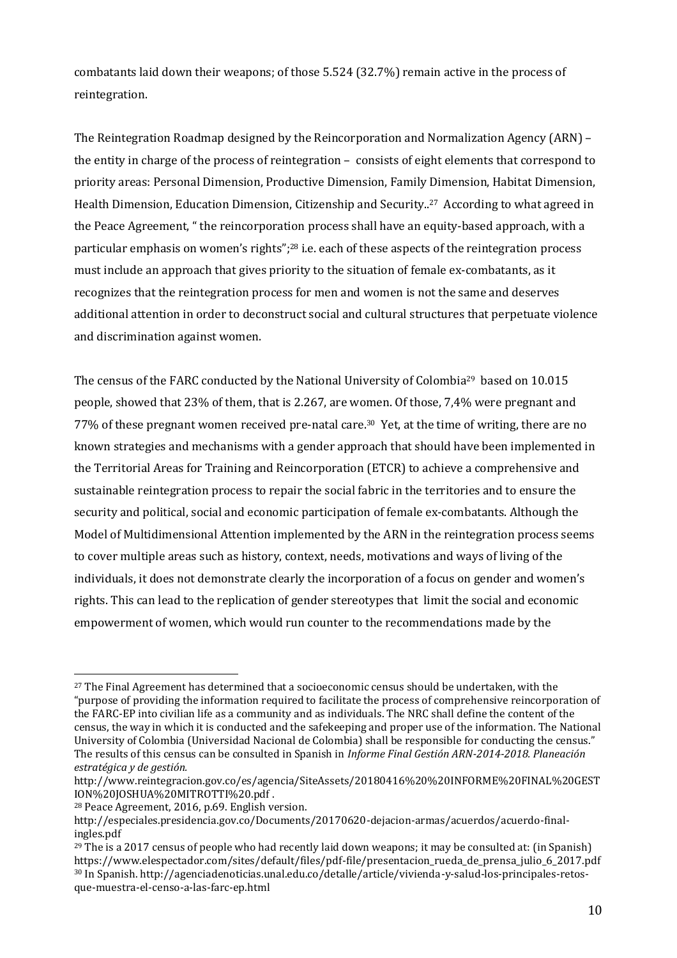combatants laid down their weapons; of those 5.524 (32.7%) remain active in the process of reintegration.

The Reintegration Roadmap designed by the Reincorporation and Normalization Agency (ARN) – the entity in charge of the process of reintegration – consists of eight elements that correspond to priority areas: Personal Dimension, Productive Dimension, Family Dimension, Habitat Dimension, Health Dimension, Education Dimension, Citizenship and Security.. <sup>27</sup> According to what agreed in the Peace Agreement, " the reincorporation process shall have an equity-based approach, with a particular emphasis on women's rights";<sup>28</sup> i.e. each of these aspects of the reintegration process must include an approach that gives priority to the situation of female ex-combatants, as it recognizes that the reintegration process for men and women is not the same and deserves additional attention in order to deconstruct social and cultural structures that perpetuate violence and discrimination against women.

The census of the FARC conducted by the National University of Colombia<sup>29</sup> based on 10.015 people, showed that 23% of them, that is 2.267, are women. Of those, 7,4% were pregnant and 77% of these pregnant women received pre-natal care. <sup>30</sup> Yet, at the time of writing, there are no known strategies and mechanisms with a gender approach that should have been implemented in the Territorial Areas for Training and Reincorporation (ETCR) to achieve a comprehensive and sustainable reintegration process to repair the social fabric in the territories and to ensure the security and political, social and economic participation of female ex-combatants. Although the Model of Multidimensional Attention implemented by the ARN in the reintegration process seems to cover multiple areas such as history, context, needs, motivations and ways of living of the individuals, it does not demonstrate clearly the incorporation of a focus on gender and women's rights. This can lead to the replication of gender stereotypes that limit the social and economic empowerment of women, which would run counter to the recommendations made by the

 $27$  The Final Agreement has determined that a socioeconomic census should be undertaken, with the "purpose of providing the information required to facilitate the process of comprehensive reincorporation of the FARC-EP into civilian life as a community and as individuals. The NRC shall define the content of the census, the way in which it is conducted and the safekeeping and proper use of the information. The National University of Colombia (Universidad Nacional de Colombia) shall be responsible for conducting the census." The results of this census can be consulted in Spanish in *Informe Final Gestión ARN-2014-2018. Planeación estratégica y de gestión.*

[http://www.reintegracion.gov.co/es/agencia/SiteAssets/20180416%20%20INFORME%20FINAL%20GEST](http://www.reintegracion.gov.co/es/agencia/SiteAssets/20180416%20%20INFORME%20FINAL%20GESTION%20JOSHUA%20MITROTTI%20.pdf) [ION%20JOSHUA%20MITROTTI%20.pdf](http://www.reintegracion.gov.co/es/agencia/SiteAssets/20180416%20%20INFORME%20FINAL%20GESTION%20JOSHUA%20MITROTTI%20.pdf) .

<sup>28</sup> Peace Agreement, 2016, p.69. English version.

http://especiales.presidencia.gov.co/Documents/20170620-dejacion-armas/acuerdos/acuerdo-finalingles.pdf

 $^{29}$  The is a 2017 census of people who had recently laid down weapons; it may be consulted at: (in Spanish) [https://www.elespectador.com/sites/default/files/pdf-file/presentacion\\_rueda\\_de\\_prensa\\_julio\\_6\\_2017.pdf](https://www.elespectador.com/sites/default/files/pdf-file/presentacion_rueda_de_prensa_julio_6_2017.pdf)  <sup>30</sup> In Spanish. http://agenciadenoticias.unal.edu.co/detalle/article/vivienda-y-salud-los-principales-retosque-muestra-el-censo-a-las-farc-ep.html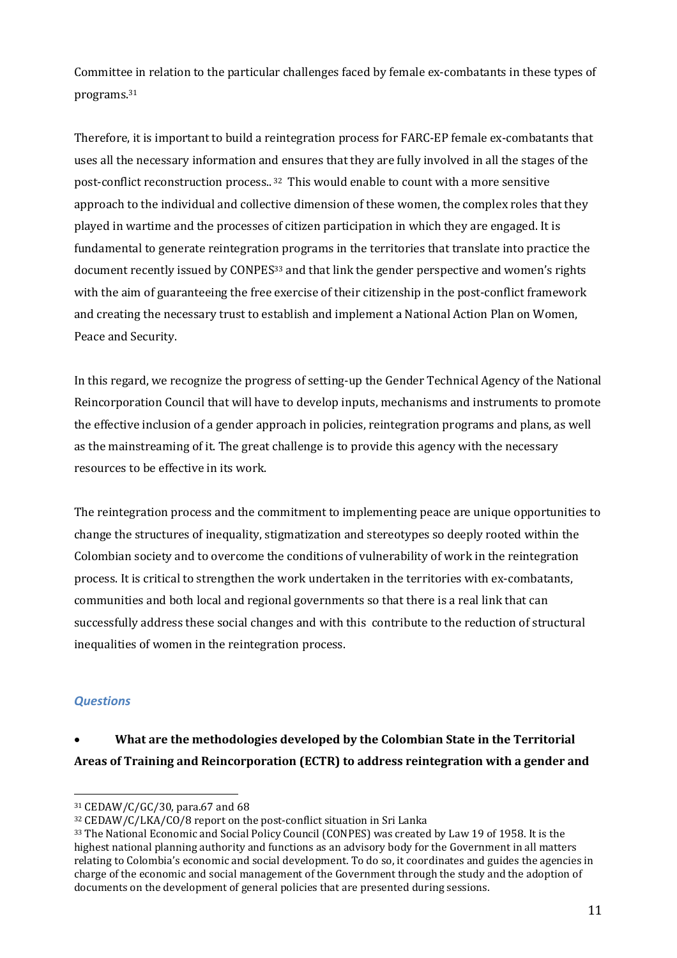Committee in relation to the particular challenges faced by female ex-combatants in these types of programs. 31

Therefore, it is important to build a reintegration process for FARC-EP female ex-combatants that uses all the necessary information and ensures that they are fully involved in all the stages of the post-conflict reconstruction process.. <sup>32</sup> This would enable to count with a more sensitive approach to the individual and collective dimension of these women, the complex roles that they played in wartime and the processes of citizen participation in which they are engaged. It is fundamental to generate reintegration programs in the territories that translate into practice the document recently issued by CONPES<sup>33</sup> and that link the gender perspective and women's rights with the aim of guaranteeing the free exercise of their citizenship in the post-conflict framework and creating the necessary trust to establish and implement a National Action Plan on Women, Peace and Security.

In this regard, we recognize the progress of setting-up the Gender Technical Agency of the National Reincorporation Council that will have to develop inputs, mechanisms and instruments to promote the effective inclusion of a gender approach in policies, reintegration programs and plans, as well as the mainstreaming of it. The great challenge is to provide this agency with the necessary resources to be effective in its work.

The reintegration process and the commitment to implementing peace are unique opportunities to change the structures of inequality, stigmatization and stereotypes so deeply rooted within the Colombian society and to overcome the conditions of vulnerability of work in the reintegration process. It is critical to strengthen the work undertaken in the territories with ex-combatants, communities and both local and regional governments so that there is a real link that can successfully address these social changes and with this contribute to the reduction of structural inequalities of women in the reintegration process.

### *Questions*

## **What are the methodologies developed by the Colombian State in the Territorial Areas of Training and Reincorporation (ECTR) to address reintegration with a gender and**

 $\overline{a}$ <sup>31</sup> CEDAW/C/GC/30, para.67 and 68

<sup>32</sup> CEDAW/C/LKA/CO/8 report on the post-conflict situation in Sri Lanka

<sup>&</sup>lt;sup>33</sup> The National Economic and Social Policy Council (CONPES) was created by Law 19 of 1958. It is the highest national planning authority and functions as an advisory body for the Government in all matters relating to Colombia's economic and social development. To do so, it coordinates and guides the agencies in charge of the economic and social management of the Government through the study and the adoption of documents on the development of general policies that are presented during sessions.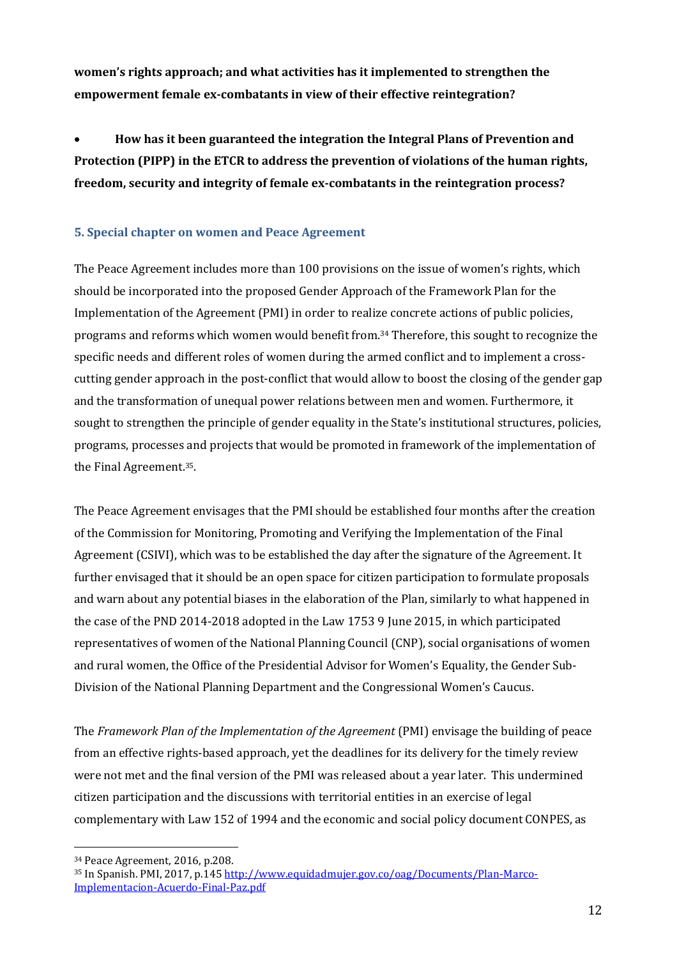**women's rights approach; and what activities has it implemented to strengthen the empowerment female ex-combatants in view of their effective reintegration?**

 **How has it been guaranteed the integration the Integral Plans of Prevention and Protection (PIPP) in the ETCR to address the prevention of violations of the human rights, freedom, security and integrity of female ex-combatants in the reintegration process?** 

### **5. Special chapter on women and Peace Agreement**

The Peace Agreement includes more than 100 provisions on the issue of women's rights, which should be incorporated into the proposed Gender Approach of the Framework Plan for the Implementation of the Agreement (PMI) in order to realize concrete actions of public policies, programs and reforms which women would benefit from. <sup>34</sup> Therefore, this sought to recognize the specific needs and different roles of women during the armed conflict and to implement a crosscutting gender approach in the post-conflict that would allow to boost the closing of the gender gap and the transformation of unequal power relations between men and women. Furthermore, it sought to strengthen the principle of gender equality in the State's institutional structures, policies, programs, processes and projects that would be promoted in framework of the implementation of the Final Agreement. 35.

The Peace Agreement envisages that the PMI should be established four months after the creation of the Commission for Monitoring, Promoting and Verifying the Implementation of the Final Agreement (CSIVI), which was to be established the day after the signature of the Agreement. It further envisaged that it should be an open space for citizen participation to formulate proposals and warn about any potential biases in the elaboration of the Plan, similarly to what happened in the case of the PND 2014-2018 adopted in the Law 1753 9 June 2015, in which participated representatives of women of the National Planning Council (CNP), social organisations of women and rural women, the Office of the Presidential Advisor for Women's Equality, the Gender Sub-Division of the National Planning Department and the Congressional Women's Caucus.

The *Framework Plan of the Implementation of the Agreement* (PMI) envisage the building of peace from an effective rights-based approach, yet the deadlines for its delivery for the timely review were not met and the final version of the PMI was released about a year later. This undermined citizen participation and the discussions with territorial entities in an exercise of legal complementary with Law 152 of 1994 and the economic and social policy document CONPES, as

 $\overline{a}$ <sup>34</sup> Peace Agreement, 2016, p.208.

<sup>&</sup>lt;sup>35</sup> In Spanish. PMI, 2017, p.145 [http://www.equidadmujer.gov.co/oag/Documents/Plan-Marco-](http://www.equidadmujer.gov.co/oag/Documents/Plan-Marco-Implementacion-Acuerdo-Final-Paz.pdf)[Implementacion-Acuerdo-Final-Paz.pdf](http://www.equidadmujer.gov.co/oag/Documents/Plan-Marco-Implementacion-Acuerdo-Final-Paz.pdf)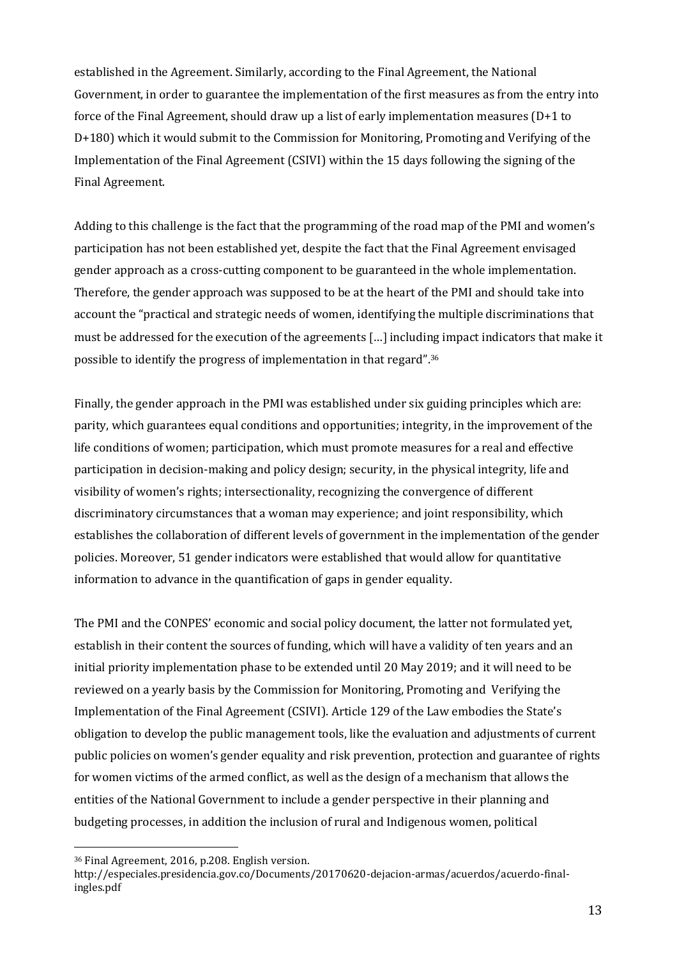established in the Agreement. Similarly, according to the Final Agreement, the National Government, in order to guarantee the implementation of the first measures as from the entry into force of the Final Agreement, should draw up a list of early implementation measures (D+1 to D+180) which it would submit to the Commission for Monitoring, Promoting and Verifying of the Implementation of the Final Agreement (CSIVI) within the 15 days following the signing of the Final Agreement.

Adding to this challenge is the fact that the programming of the road map of the PMI and women's participation has not been established yet, despite the fact that the Final Agreement envisaged gender approach as a cross-cutting component to be guaranteed in the whole implementation. Therefore, the gender approach was supposed to be at the heart of the PMI and should take into account the "practical and strategic needs of women, identifying the multiple discriminations that must be addressed for the execution of the agreements … including impact indicators that make it possible to identify the progress of implementation in that regard". 36

Finally, the gender approach in the PMI was established under six guiding principles which are: parity, which guarantees equal conditions and opportunities; integrity, in the improvement of the life conditions of women; participation, which must promote measures for a real and effective participation in decision-making and policy design; security, in the physical integrity, life and visibility of women's rights; intersectionality, recognizing the convergence of different discriminatory circumstances that a woman may experience; and joint responsibility, which establishes the collaboration of different levels of government in the implementation of the gender policies. Moreover, 51 gender indicators were established that would allow for quantitative information to advance in the quantification of gaps in gender equality.

The PMI and the CONPES' economic and social policy document, the latter not formulated yet, establish in their content the sources of funding, which will have a validity of ten years and an initial priority implementation phase to be extended until 20 May 2019; and it will need to be reviewed on a yearly basis by the Commission for Monitoring, Promoting and Verifying the Implementation of the Final Agreement (CSIVI). Article 129 of the Law embodies the State's obligation to develop the public management tools, like the evaluation and adjustments of current public policies on women's gender equality and risk prevention, protection and guarantee of rights for women victims of the armed conflict, as well as the design of a mechanism that allows the entities of the National Government to include a gender perspective in their planning and budgeting processes, in addition the inclusion of rural and Indigenous women, political

<sup>36</sup> Final Agreement, 2016, p.208. English version.

http://especiales.presidencia.gov.co/Documents/20170620-dejacion-armas/acuerdos/acuerdo-finalingles.pdf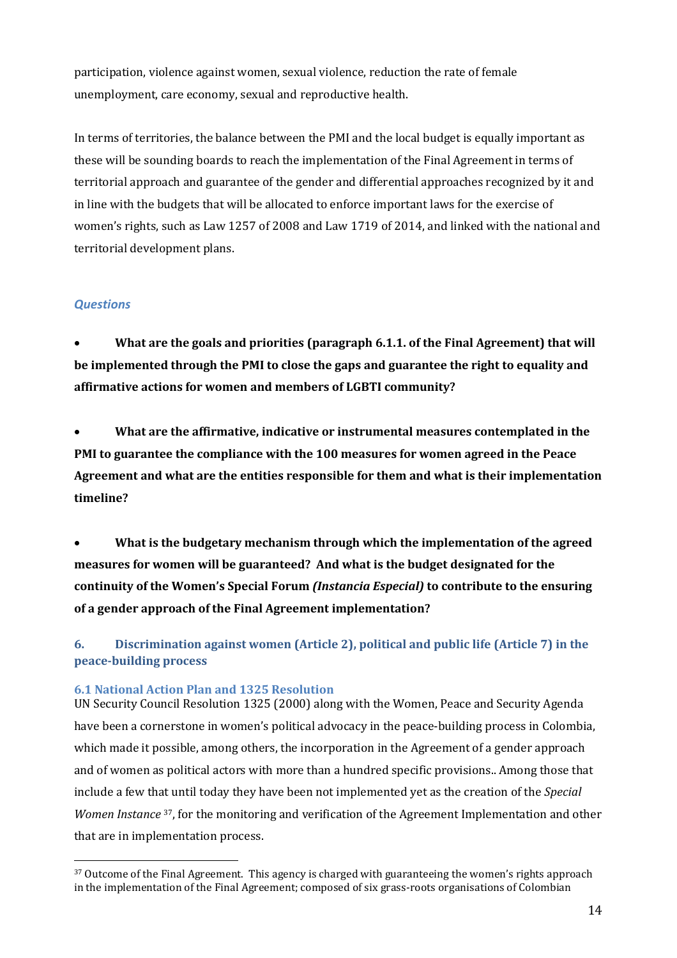participation, violence against women, sexual violence, reduction the rate of female unemployment, care economy, sexual and reproductive health.

In terms of territories, the balance between the PMI and the local budget is equally important as these will be sounding boards to reach the implementation of the Final Agreement in terms of territorial approach and guarantee of the gender and differential approaches recognized by it and in line with the budgets that will be allocated to enforce important laws for the exercise of women's rights, such as Law 1257 of 2008 and Law 1719 of 2014, and linked with the national and territorial development plans.

### *Questions*

 $\overline{a}$ 

 **What are the goals and priorities (paragraph 6.1.1. of the Final Agreement) that will be implemented through the PMI to close the gaps and guarantee the right to equality and affirmative actions for women and members of LGBTI community?** 

 **What are the affirmative, indicative or instrumental measures contemplated in the PMI to guarantee the compliance with the 100 measures for women agreed in the Peace Agreement and what are the entities responsible for them and what is their implementation timeline?** 

 **What is the budgetary mechanism through which the implementation of the agreed measures for women will be guaranteed? And what is the budget designated for the continuity of the Women's Special Forum** *(Instancia Especial)* **to contribute to the ensuring of a gender approach of the Final Agreement implementation?**

**6. Discrimination against women (Article 2), political and public life (Article 7) in the peace-building process**

### **6.1 National Action Plan and 1325 Resolution**

UN Security Council Resolution 1325 (2000) along with the Women, Peace and Security Agenda have been a cornerstone in women's political advocacy in the peace-building process in Colombia, which made it possible, among others, the incorporation in the Agreement of a gender approach and of women as political actors with more than a hundred specific provisions.. Among those that include a few that until today they have been not implemented yet as the creation of the *Special Women Instance* <sup>37</sup>, for the monitoring and verification of the Agreement Implementation and other that are in implementation process.

<sup>&</sup>lt;sup>37</sup> Outcome of the Final Agreement. This agency is charged with guaranteeing the women's rights approach in the implementation of the Final Agreement; composed of six grass-roots organisations of Colombian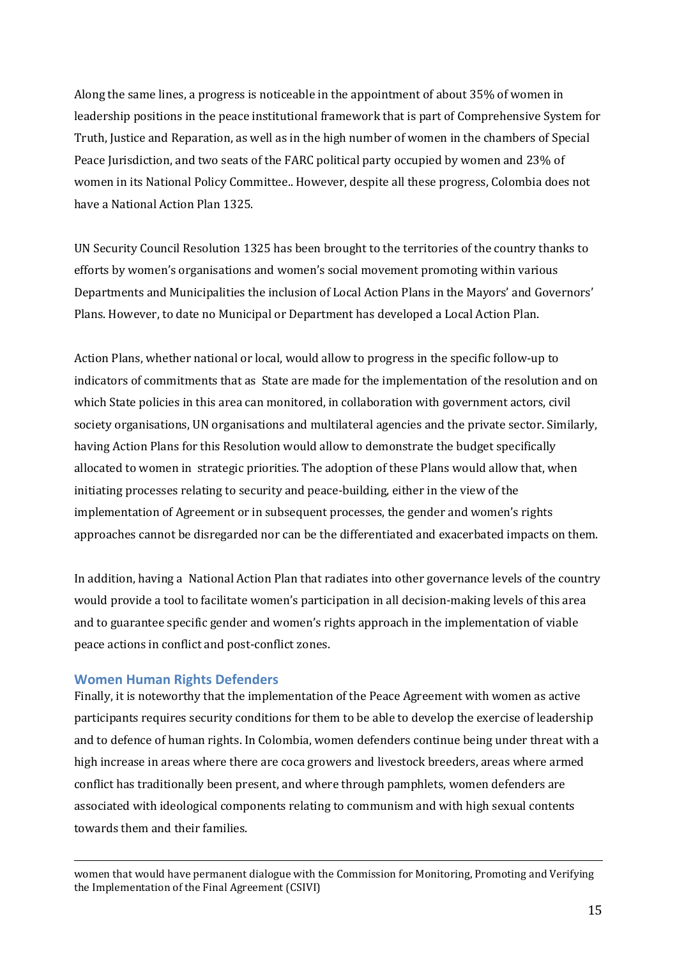Along the same lines, a progress is noticeable in the appointment of about 35% of women in leadership positions in the peace institutional framework that is part of Comprehensive System for Truth, Justice and Reparation, as well as in the high number of women in the chambers of Special Peace Jurisdiction, and two seats of the FARC political party occupied by women and 23% of women in its National Policy Committee.. However, despite all these progress, Colombia does not have a National Action Plan 1325.

UN Security Council Resolution 1325 has been brought to the territories of the country thanks to efforts by women's organisations and women's social movement promoting within various Departments and Municipalities the inclusion of Local Action Plans in the Mayors' and Governors' Plans. However, to date no Municipal or Department has developed a Local Action Plan.

Action Plans, whether national or local, would allow to progress in the specific follow-up to indicators of commitments that as State are made for the implementation of the resolution and on which State policies in this area can monitored, in collaboration with government actors, civil society organisations, UN organisations and multilateral agencies and the private sector. Similarly, having Action Plans for this Resolution would allow to demonstrate the budget specifically allocated to women in strategic priorities. The adoption of these Plans would allow that, when initiating processes relating to security and peace-building, either in the view of the implementation of Agreement or in subsequent processes, the gender and women's rights approaches cannot be disregarded nor can be the differentiated and exacerbated impacts on them.

In addition, having a National Action Plan that radiates into other governance levels of the country would provide a tool to facilitate women's participation in all decision-making levels of this area and to guarantee specific gender and women's rights approach in the implementation of viable peace actions in conflict and post-conflict zones.

### **Women Human Rights Defenders**

<u>.</u>

Finally, it is noteworthy that the implementation of the Peace Agreement with women as active participants requires security conditions for them to be able to develop the exercise of leadership and to defence of human rights. In Colombia, women defenders continue being under threat with a high increase in areas where there are coca growers and livestock breeders, areas where armed conflict has traditionally been present, and where through pamphlets, women defenders are associated with ideological components relating to communism and with high sexual contents towards them and their families.

women that would have permanent dialogue with the Commission for Monitoring, Promoting and Verifying the Implementation of the Final Agreement (CSIVI)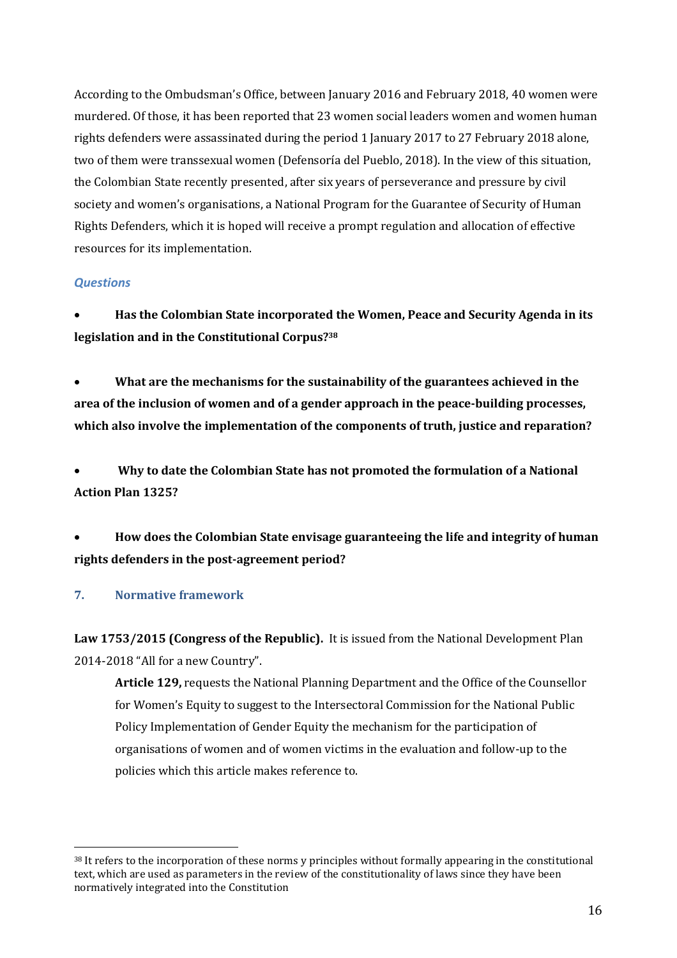According to the Ombudsman's Office, between January 2016 and February 2018, 40 women were murdered. Of those, it has been reported that 23 women social leaders women and women human rights defenders were assassinated during the period 1 January 2017 to 27 February 2018 alone, two of them were transsexual women (Defensoría del Pueblo, 2018). In the view of this situation, the Colombian State recently presented, after six years of perseverance and pressure by civil society and women's organisations, a National Program for the Guarantee of Security of Human Rights Defenders, which it is hoped will receive a prompt regulation and allocation of effective resources for its implementation.

### *Questions*

 **Has the Colombian State incorporated the Women, Peace and Security Agenda in its legislation and in the Constitutional Corpus? 38**

 **What are the mechanisms for the sustainability of the guarantees achieved in the area of the inclusion of women and of a gender approach in the peace-building processes, which also involve the implementation of the components of truth, justice and reparation?**

 **Why to date the Colombian State has not promoted the formulation of a National Action Plan 1325?**

 **How does the Colombian State envisage guaranteeing the life and integrity of human rights defenders in the post-agreement period?** 

### **7. Normative framework**

 $\overline{a}$ 

**Law 1753/2015 (Congress of the Republic).** It is issued from the National Development Plan 2014-2018 "All for a new Country".

**Article 129,** requests the National Planning Department and the Office of the Counsellor for Women's Equity to suggest to the Intersectoral Commission for the National Public Policy Implementation of Gender Equity the mechanism for the participation of organisations of women and of women victims in the evaluation and follow-up to the policies which this article makes reference to.

<sup>&</sup>lt;sup>38</sup> It refers to the incorporation of these norms y principles without formally appearing in the constitutional text, which are used as parameters in the review of the constitutionality of laws since they have been normatively integrated into the Constitution